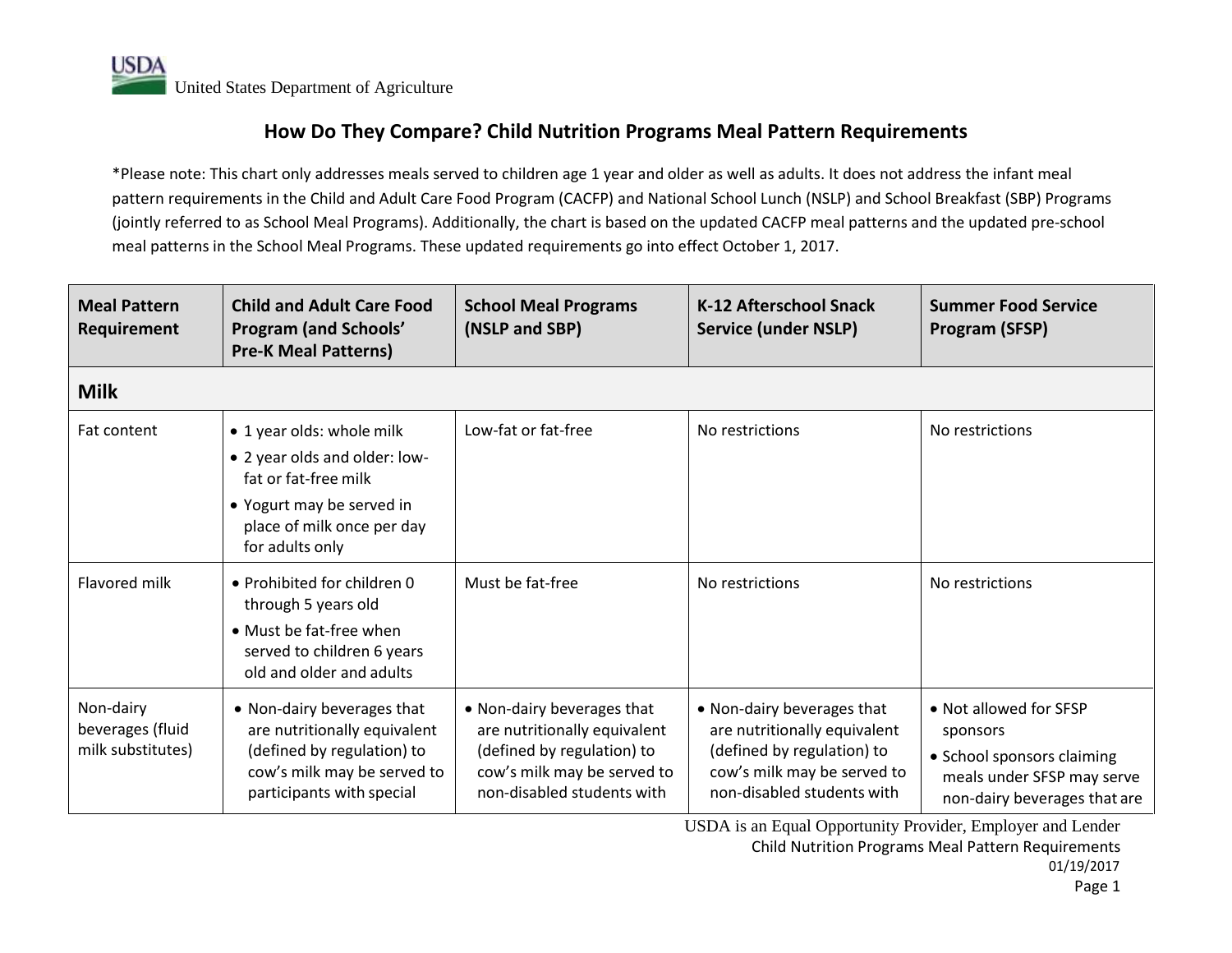## **How Do They Compare? Child Nutrition Programs Meal Pattern Requirements**

\*Please note: This chart only addresses meals served to children age 1 year and older as well as adults. It does not address the infant meal pattern requirements in the Child and Adult Care Food Program (CACFP) and National School Lunch (NSLP) and School Breakfast (SBP) Programs (jointly referred to as School Meal Programs). Additionally, the chart is based on the updated CACFP meal patterns and the updated pre-school meal patterns in the School Meal Programs. These updated requirements go into effect October 1, 2017.

| <b>Meal Pattern</b><br>Requirement                 | <b>Child and Adult Care Food</b><br><b>Program (and Schools'</b><br><b>Pre-K Meal Patterns)</b>                                                                  | <b>School Meal Programs</b><br>(NSLP and SBP)                                                                                                         | K-12 Afterschool Snack<br><b>Service (under NSLP)</b>                                                                                                 | <b>Summer Food Service</b><br>Program (SFSP)                                                                                   |  |  |
|----------------------------------------------------|------------------------------------------------------------------------------------------------------------------------------------------------------------------|-------------------------------------------------------------------------------------------------------------------------------------------------------|-------------------------------------------------------------------------------------------------------------------------------------------------------|--------------------------------------------------------------------------------------------------------------------------------|--|--|
| <b>Milk</b>                                        |                                                                                                                                                                  |                                                                                                                                                       |                                                                                                                                                       |                                                                                                                                |  |  |
| Fat content                                        | • 1 year olds: whole milk<br>• 2 year olds and older: low-<br>fat or fat-free milk<br>• Yogurt may be served in<br>place of milk once per day<br>for adults only | Low-fat or fat-free                                                                                                                                   | No restrictions                                                                                                                                       | No restrictions                                                                                                                |  |  |
| <b>Flavored milk</b>                               | • Prohibited for children $\theta$<br>through 5 years old<br>• Must be fat-free when<br>served to children 6 years<br>old and older and adults                   | Must be fat-free                                                                                                                                      | No restrictions                                                                                                                                       | No restrictions                                                                                                                |  |  |
| Non-dairy<br>beverages (fluid<br>milk substitutes) | • Non-dairy beverages that<br>are nutritionally equivalent<br>(defined by regulation) to<br>cow's milk may be served to<br>participants with special             | • Non-dairy beverages that<br>are nutritionally equivalent<br>(defined by regulation) to<br>cow's milk may be served to<br>non-disabled students with | • Non-dairy beverages that<br>are nutritionally equivalent<br>(defined by regulation) to<br>cow's milk may be served to<br>non-disabled students with | • Not allowed for SFSP<br>sponsors<br>• School sponsors claiming<br>meals under SFSP may serve<br>non-dairy beverages that are |  |  |

Child Nutrition Programs Meal Pattern Requirements 01/19/2017 USDA is an Equal Opportunity Provider, Employer and Lender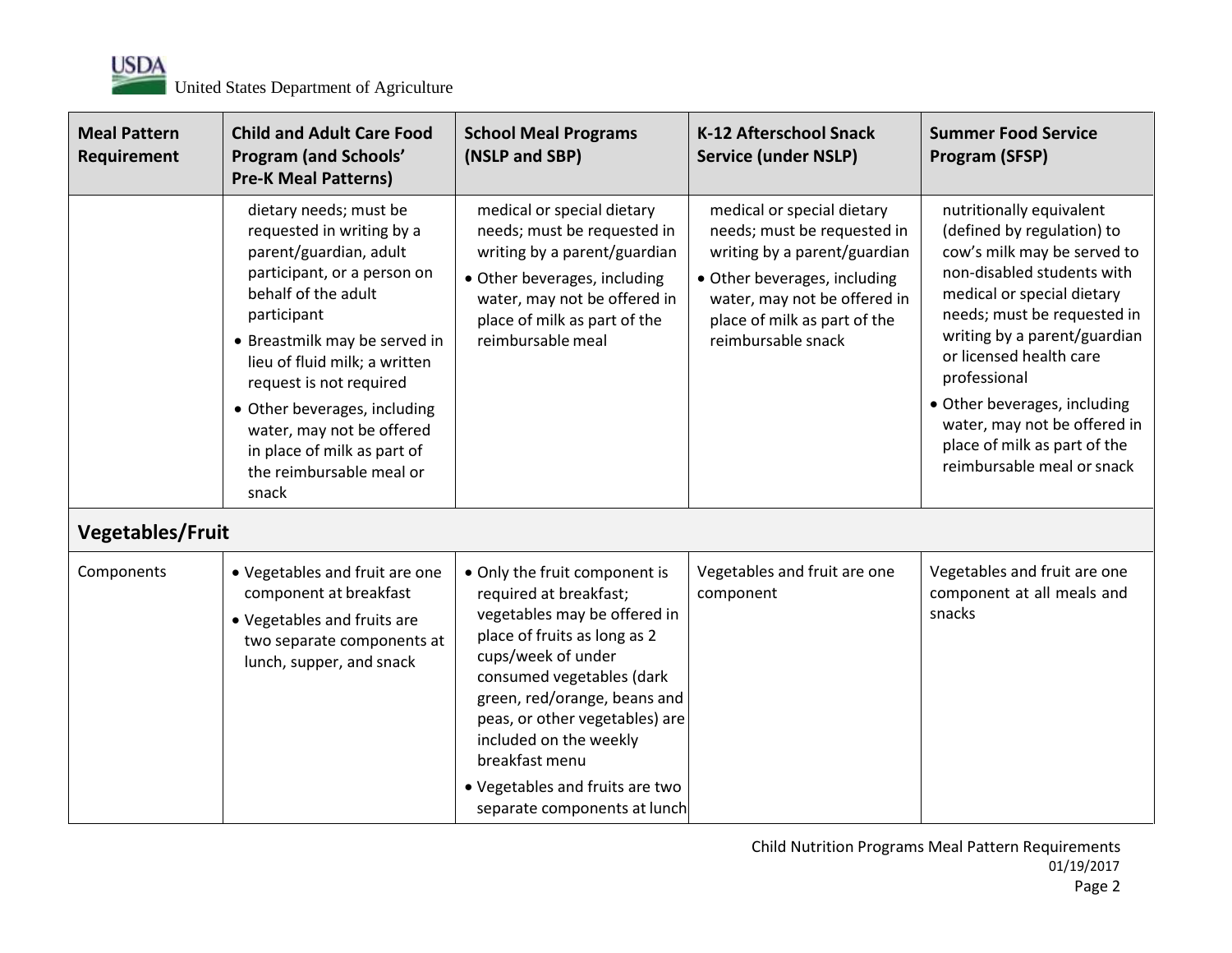

| <b>Meal Pattern</b><br>Requirement | <b>Child and Adult Care Food</b><br><b>Program (and Schools'</b><br><b>Pre-K Meal Patterns)</b>                                                                                                                                                                                                                                                                                  | <b>School Meal Programs</b><br>(NSLP and SBP)                                                                                                                                                                                                                                                                                                               | <b>K-12 Afterschool Snack</b><br><b>Service (under NSLP)</b>                                                                                                                                                    | <b>Summer Food Service</b><br><b>Program (SFSP)</b>                                                                                                                                                                                                                                                                                                                                       |
|------------------------------------|----------------------------------------------------------------------------------------------------------------------------------------------------------------------------------------------------------------------------------------------------------------------------------------------------------------------------------------------------------------------------------|-------------------------------------------------------------------------------------------------------------------------------------------------------------------------------------------------------------------------------------------------------------------------------------------------------------------------------------------------------------|-----------------------------------------------------------------------------------------------------------------------------------------------------------------------------------------------------------------|-------------------------------------------------------------------------------------------------------------------------------------------------------------------------------------------------------------------------------------------------------------------------------------------------------------------------------------------------------------------------------------------|
| Vegetables/Fruit                   | dietary needs; must be<br>requested in writing by a<br>parent/guardian, adult<br>participant, or a person on<br>behalf of the adult<br>participant<br>• Breastmilk may be served in<br>lieu of fluid milk; a written<br>request is not required<br>• Other beverages, including<br>water, may not be offered<br>in place of milk as part of<br>the reimbursable meal or<br>snack | medical or special dietary<br>needs; must be requested in<br>writing by a parent/guardian<br>· Other beverages, including<br>water, may not be offered in<br>place of milk as part of the<br>reimbursable meal                                                                                                                                              | medical or special dietary<br>needs; must be requested in<br>writing by a parent/guardian<br>• Other beverages, including<br>water, may not be offered in<br>place of milk as part of the<br>reimbursable snack | nutritionally equivalent<br>(defined by regulation) to<br>cow's milk may be served to<br>non-disabled students with<br>medical or special dietary<br>needs; must be requested in<br>writing by a parent/guardian<br>or licensed health care<br>professional<br>• Other beverages, including<br>water, may not be offered in<br>place of milk as part of the<br>reimbursable meal or snack |
| Components                         | • Vegetables and fruit are one<br>component at breakfast<br>• Vegetables and fruits are<br>two separate components at<br>lunch, supper, and snack                                                                                                                                                                                                                                | • Only the fruit component is<br>required at breakfast;<br>vegetables may be offered in<br>place of fruits as long as 2<br>cups/week of under<br>consumed vegetables (dark<br>green, red/orange, beans and<br>peas, or other vegetables) are<br>included on the weekly<br>breakfast menu<br>• Vegetables and fruits are two<br>separate components at lunch | Vegetables and fruit are one<br>component                                                                                                                                                                       | Vegetables and fruit are one<br>component at all meals and<br>snacks                                                                                                                                                                                                                                                                                                                      |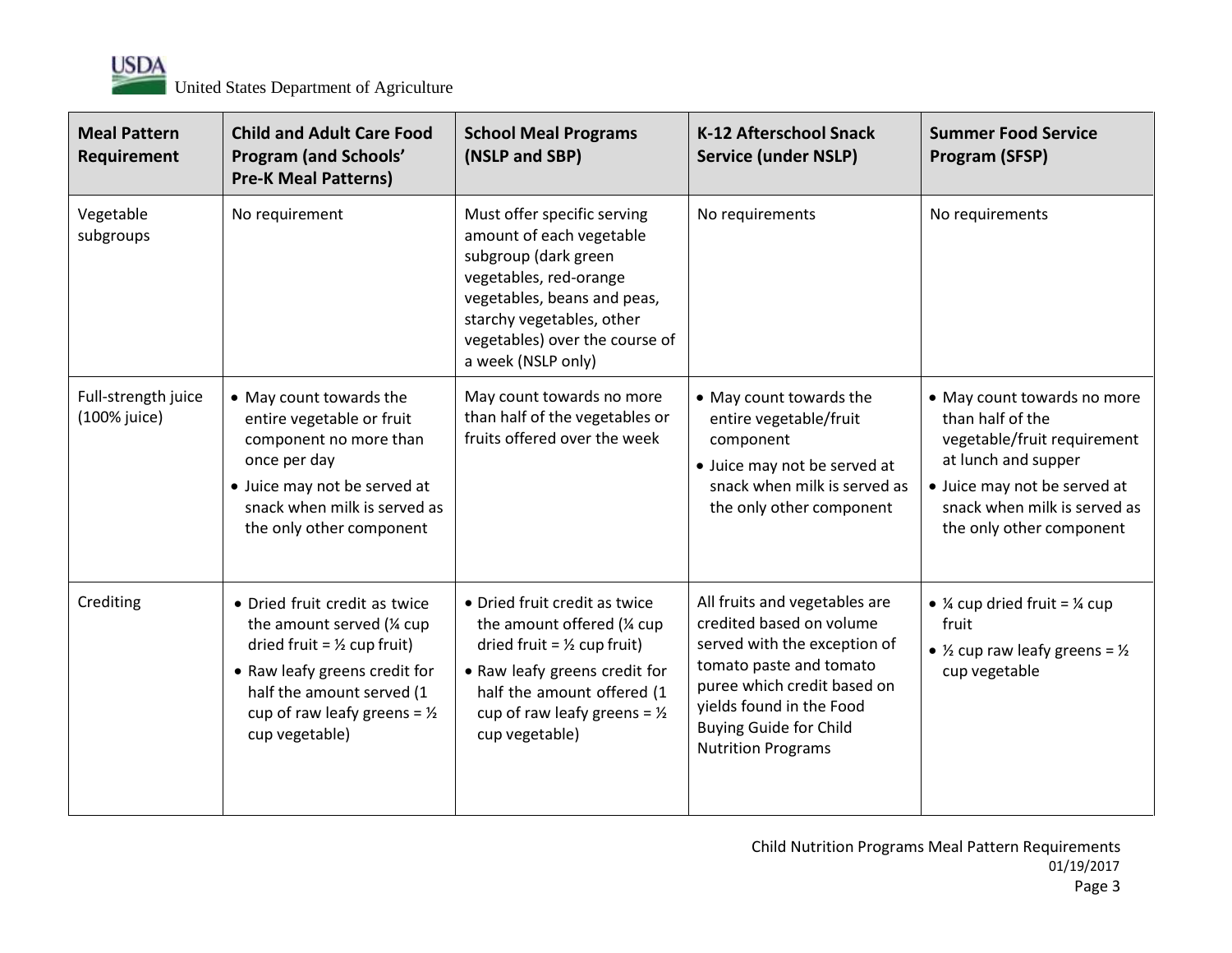

| <b>Meal Pattern</b><br>Requirement  | <b>Child and Adult Care Food</b><br><b>Program (and Schools'</b><br><b>Pre-K Meal Patterns)</b>                                                                                                                                  | <b>School Meal Programs</b><br>(NSLP and SBP)                                                                                                                                                                                      | <b>K-12 Afterschool Snack</b><br><b>Service (under NSLP)</b>                                                                                                                                                                                  | <b>Summer Food Service</b><br>Program (SFSP)                                                                                                                                                      |
|-------------------------------------|----------------------------------------------------------------------------------------------------------------------------------------------------------------------------------------------------------------------------------|------------------------------------------------------------------------------------------------------------------------------------------------------------------------------------------------------------------------------------|-----------------------------------------------------------------------------------------------------------------------------------------------------------------------------------------------------------------------------------------------|---------------------------------------------------------------------------------------------------------------------------------------------------------------------------------------------------|
| Vegetable<br>subgroups              | No requirement                                                                                                                                                                                                                   | Must offer specific serving<br>amount of each vegetable<br>subgroup (dark green<br>vegetables, red-orange<br>vegetables, beans and peas,<br>starchy vegetables, other<br>vegetables) over the course of<br>a week (NSLP only)      | No requirements                                                                                                                                                                                                                               | No requirements                                                                                                                                                                                   |
| Full-strength juice<br>(100% juice) | • May count towards the<br>entire vegetable or fruit<br>component no more than<br>once per day<br>• Juice may not be served at<br>snack when milk is served as<br>the only other component                                       | May count towards no more<br>than half of the vegetables or<br>fruits offered over the week                                                                                                                                        | • May count towards the<br>entire vegetable/fruit<br>component<br>• Juice may not be served at<br>snack when milk is served as<br>the only other component                                                                                    | • May count towards no more<br>than half of the<br>vegetable/fruit requirement<br>at lunch and supper<br>· Juice may not be served at<br>snack when milk is served as<br>the only other component |
| Crediting                           | • Dried fruit credit as twice<br>the amount served (1/4 cup<br>dried fruit = $\frac{1}{2}$ cup fruit)<br>• Raw leafy greens credit for<br>half the amount served (1<br>cup of raw leafy greens = $\frac{1}{2}$<br>cup vegetable) | • Dried fruit credit as twice<br>the amount offered (1/4 cup<br>dried fruit = $\frac{1}{2}$ cup fruit)<br>• Raw leafy greens credit for<br>half the amount offered (1<br>cup of raw leafy greens = $\frac{1}{2}$<br>cup vegetable) | All fruits and vegetables are<br>credited based on volume<br>served with the exception of<br>tomato paste and tomato<br>puree which credit based on<br>yields found in the Food<br><b>Buying Guide for Child</b><br><b>Nutrition Programs</b> | • $\frac{1}{4}$ cup dried fruit = $\frac{1}{4}$ cup<br>fruit<br>• $\frac{1}{2}$ cup raw leafy greens = $\frac{1}{2}$<br>cup vegetable                                                             |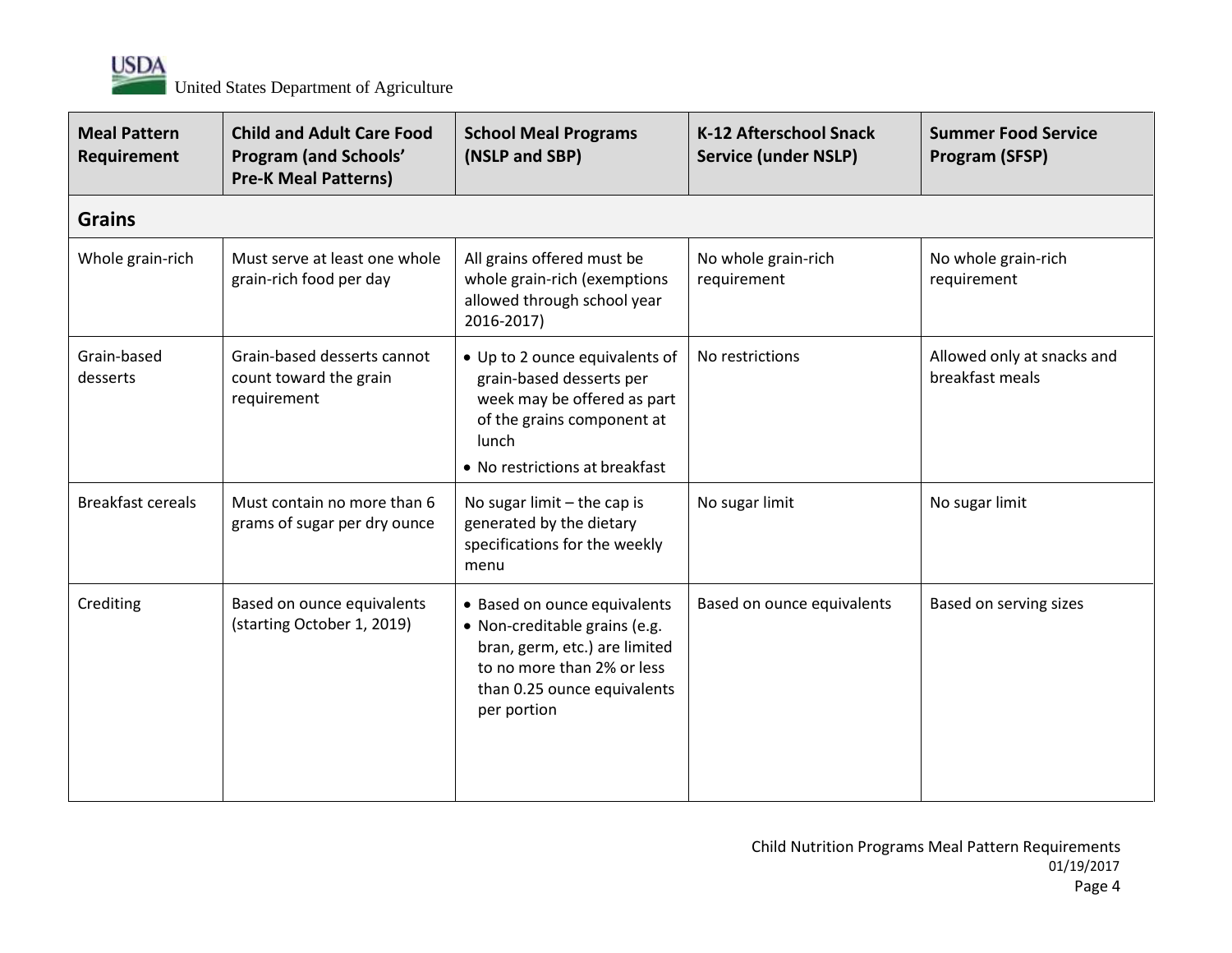

| <b>Meal Pattern</b><br>Requirement | <b>Child and Adult Care Food</b><br><b>Program (and Schools'</b><br><b>Pre-K Meal Patterns)</b> | <b>School Meal Programs</b><br>(NSLP and SBP)                                                                                                                              | <b>K-12 Afterschool Snack</b><br><b>Service (under NSLP)</b> | <b>Summer Food Service</b><br>Program (SFSP)  |
|------------------------------------|-------------------------------------------------------------------------------------------------|----------------------------------------------------------------------------------------------------------------------------------------------------------------------------|--------------------------------------------------------------|-----------------------------------------------|
| <b>Grains</b>                      |                                                                                                 |                                                                                                                                                                            |                                                              |                                               |
| Whole grain-rich                   | Must serve at least one whole<br>grain-rich food per day                                        | All grains offered must be<br>whole grain-rich (exemptions<br>allowed through school year<br>2016-2017)                                                                    | No whole grain-rich<br>requirement                           | No whole grain-rich<br>requirement            |
| Grain-based<br>desserts            | Grain-based desserts cannot<br>count toward the grain<br>requirement                            | • Up to 2 ounce equivalents of<br>grain-based desserts per<br>week may be offered as part<br>of the grains component at<br>lunch<br>• No restrictions at breakfast         | No restrictions                                              | Allowed only at snacks and<br>breakfast meals |
| <b>Breakfast cereals</b>           | Must contain no more than 6<br>grams of sugar per dry ounce                                     | No sugar limit $-$ the cap is<br>generated by the dietary<br>specifications for the weekly<br>menu                                                                         | No sugar limit                                               | No sugar limit                                |
| Crediting                          | Based on ounce equivalents<br>(starting October 1, 2019)                                        | • Based on ounce equivalents<br>• Non-creditable grains (e.g.<br>bran, germ, etc.) are limited<br>to no more than 2% or less<br>than 0.25 ounce equivalents<br>per portion | Based on ounce equivalents                                   | Based on serving sizes                        |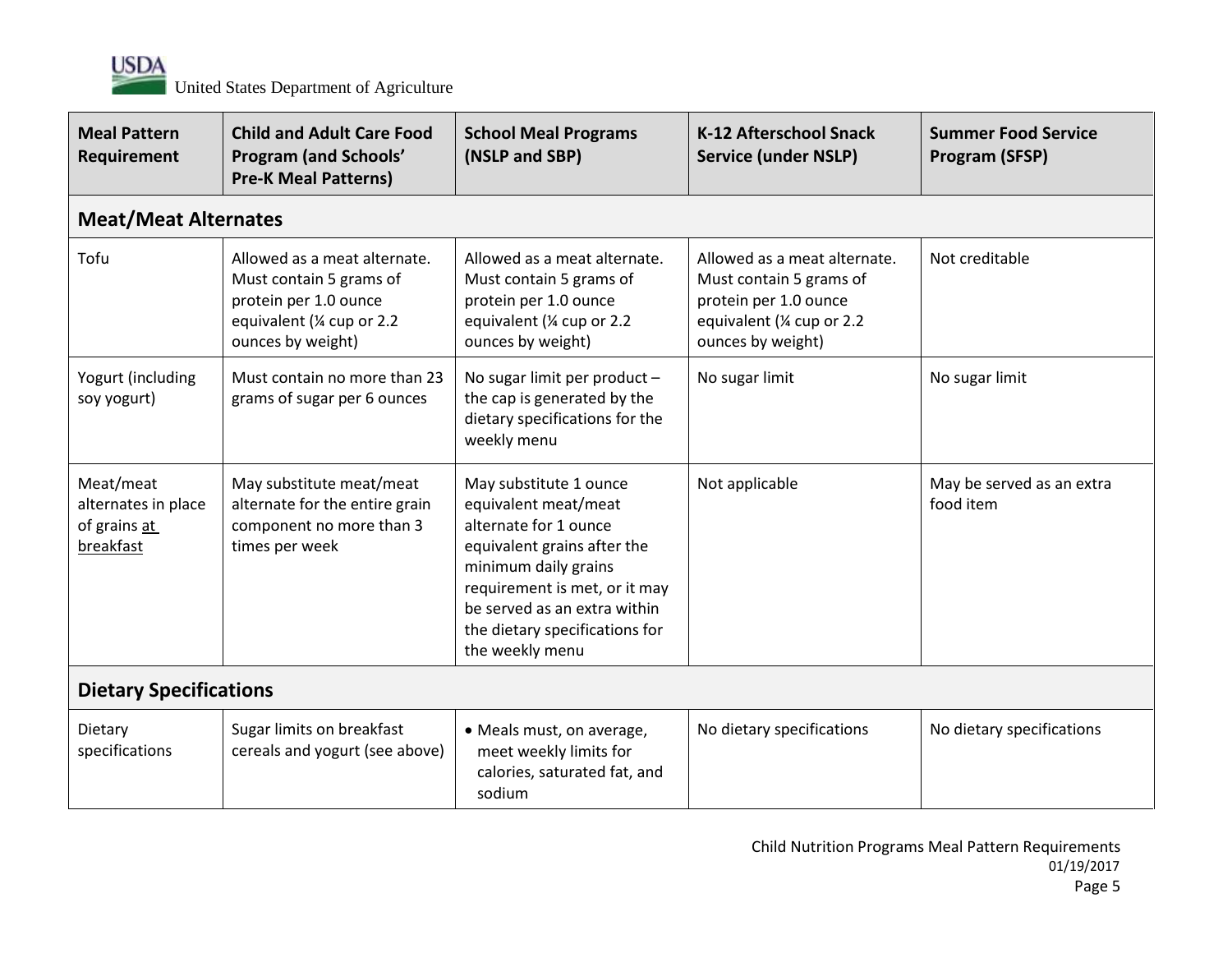

| <b>Meal Pattern</b><br>Requirement                            | <b>Child and Adult Care Food</b><br><b>Program (and Schools'</b><br><b>Pre-K Meal Patterns)</b>                                     | <b>School Meal Programs</b><br>(NSLP and SBP)                                                                                                                                                                                                        | K-12 Afterschool Snack<br><b>Service (under NSLP)</b>                                                                               | <b>Summer Food Service</b><br><b>Program (SFSP)</b> |
|---------------------------------------------------------------|-------------------------------------------------------------------------------------------------------------------------------------|------------------------------------------------------------------------------------------------------------------------------------------------------------------------------------------------------------------------------------------------------|-------------------------------------------------------------------------------------------------------------------------------------|-----------------------------------------------------|
| <b>Meat/Meat Alternates</b>                                   |                                                                                                                                     |                                                                                                                                                                                                                                                      |                                                                                                                                     |                                                     |
| Tofu                                                          | Allowed as a meat alternate.<br>Must contain 5 grams of<br>protein per 1.0 ounce<br>equivalent (1/4 cup or 2.2<br>ounces by weight) | Allowed as a meat alternate.<br>Must contain 5 grams of<br>protein per 1.0 ounce<br>equivalent (1/4 cup or 2.2<br>ounces by weight)                                                                                                                  | Allowed as a meat alternate.<br>Must contain 5 grams of<br>protein per 1.0 ounce<br>equivalent (1/4 cup or 2.2<br>ounces by weight) | Not creditable                                      |
| Yogurt (including<br>soy yogurt)                              | Must contain no more than 23<br>grams of sugar per 6 ounces                                                                         | No sugar limit per product -<br>the cap is generated by the<br>dietary specifications for the<br>weekly menu                                                                                                                                         | No sugar limit                                                                                                                      | No sugar limit                                      |
| Meat/meat<br>alternates in place<br>of grains at<br>breakfast | May substitute meat/meat<br>alternate for the entire grain<br>component no more than 3<br>times per week                            | May substitute 1 ounce<br>equivalent meat/meat<br>alternate for 1 ounce<br>equivalent grains after the<br>minimum daily grains<br>requirement is met, or it may<br>be served as an extra within<br>the dietary specifications for<br>the weekly menu | Not applicable                                                                                                                      | May be served as an extra<br>food item              |
| <b>Dietary Specifications</b>                                 |                                                                                                                                     |                                                                                                                                                                                                                                                      |                                                                                                                                     |                                                     |
| Dietary<br>specifications                                     | Sugar limits on breakfast<br>cereals and yogurt (see above)                                                                         | • Meals must, on average,<br>meet weekly limits for<br>calories, saturated fat, and<br>sodium                                                                                                                                                        | No dietary specifications                                                                                                           | No dietary specifications                           |